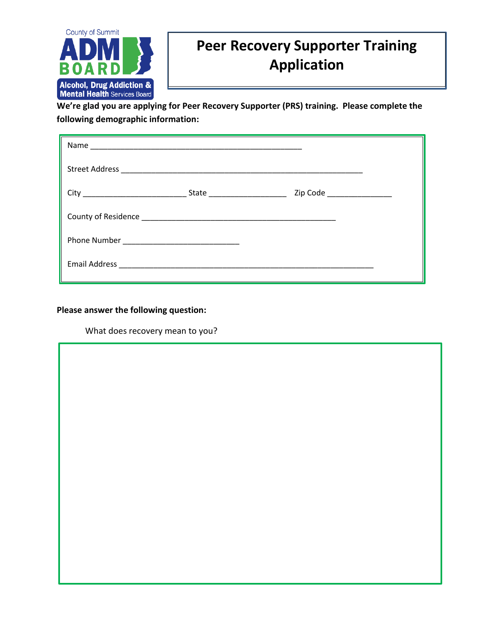

## **Peer Recovery Supporter Training Application**

**We're glad you are applying for Peer Recovery Supporter (PRS) training. Please complete the following demographic information:**

| State _______________________ | Zip Code __________________ |
|-------------------------------|-----------------------------|
|                               |                             |
|                               |                             |
|                               |                             |

**Please answer the following question:**

What does recovery mean to you?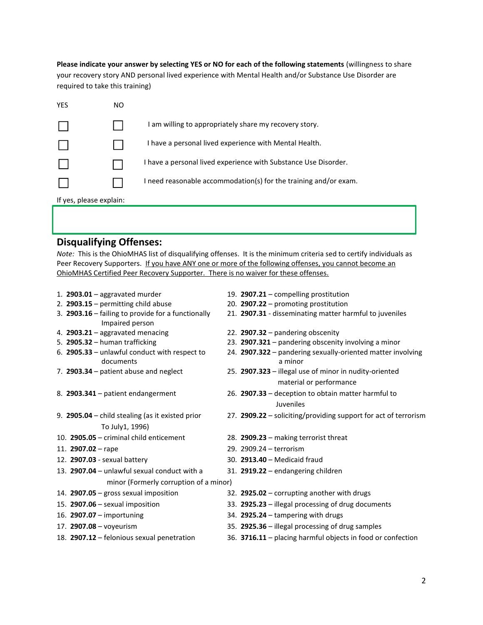**Please indicate your answer by selecting YES or NO for each of the following statements** (willingness to share your recovery story AND personal lived experience with Mental Health and/or Substance Use Disorder are required to take this training)

| YES                     | NO |                                                                  |  |  |
|-------------------------|----|------------------------------------------------------------------|--|--|
|                         |    | I am willing to appropriately share my recovery story.           |  |  |
|                         |    | I have a personal lived experience with Mental Health.           |  |  |
|                         |    | I have a personal lived experience with Substance Use Disorder.  |  |  |
|                         |    | I need reasonable accommodation(s) for the training and/or exam. |  |  |
| If yes, please explain: |    |                                                                  |  |  |

## **Disqualifying Offenses:**

*Note:* This is the OhioMHAS list of disqualifying offenses. It is the minimum criteria sed to certify individuals as Peer Recovery Supporters. If you have ANY one or more of the following offenses, you cannot become an OhioMHAS Certified Peer Recovery Supporter. There is no waiver for these offenses.

|                                        | 1. $2903.01$ – aggravated murder                           |  | 19. 2907.21 - compelling prostitution                                             |  |
|----------------------------------------|------------------------------------------------------------|--|-----------------------------------------------------------------------------------|--|
|                                        | 2. $2903.15$ – permitting child abuse                      |  | 20. 2907.22 - promoting prostitution                                              |  |
|                                        | 3. 2903.16 - failing to provide for a functionally         |  | 21. 2907.31 - disseminating matter harmful to juveniles                           |  |
|                                        | Impaired person                                            |  |                                                                                   |  |
|                                        | 4. 2903.21 - aggravated menacing                           |  | 22. 2907.32 - pandering obscenity                                                 |  |
|                                        | 5. 2905.32 - human trafficking                             |  | 23. 2907.321 - pandering obscenity involving a minor                              |  |
|                                        | 6. 2905.33 - unlawful conduct with respect to<br>documents |  | 24. 2907.322 - pandering sexually-oriented matter involving<br>a minor            |  |
|                                        | 7. 2903.34 - patient abuse and neglect                     |  | 25. 2907.323 - illegal use of minor in nudity-oriented<br>material or performance |  |
|                                        | 8. 2903.341 - patient endangerment                         |  | 26. 2907.33 - deception to obtain matter harmful to<br>Juveniles                  |  |
|                                        | 9. 2905.04 - child stealing (as it existed prior           |  | 27. 2909.22 - soliciting/providing support for act of terrorism                   |  |
|                                        | To July1, 1996)                                            |  |                                                                                   |  |
|                                        | 10. $2905.05$ – criminal child enticement                  |  | 28. 2909.23 - making terrorist threat                                             |  |
|                                        | 11. $2907.02 -$ rape                                       |  | 29. 2909.24 - terrorism                                                           |  |
|                                        | 12. 2907.03 - sexual battery                               |  | 30. 2913.40 - Medicaid fraud                                                      |  |
|                                        | 13. 2907.04 - unlawful sexual conduct with a               |  | 31. 2919.22 - endangering children                                                |  |
| minor (Formerly corruption of a minor) |                                                            |  |                                                                                   |  |
|                                        | 14. 2907.05 - gross sexual imposition                      |  | 32. 2925.02 - corrupting another with drugs                                       |  |
|                                        | 15. 2907.06 - sexual imposition                            |  | 33. 2925.23 - illegal processing of drug documents                                |  |
|                                        | 16. 2907.07 - importuning                                  |  | 34. 2925.24 - tampering with drugs                                                |  |
|                                        | 17. 2907.08 - voyeurism                                    |  | 35. 2925.36 - illegal processing of drug samples                                  |  |
|                                        | 18. 2907.12 - felonious sexual penetration                 |  | 36. 3716.11 - placing harmful objects in food or confection                       |  |